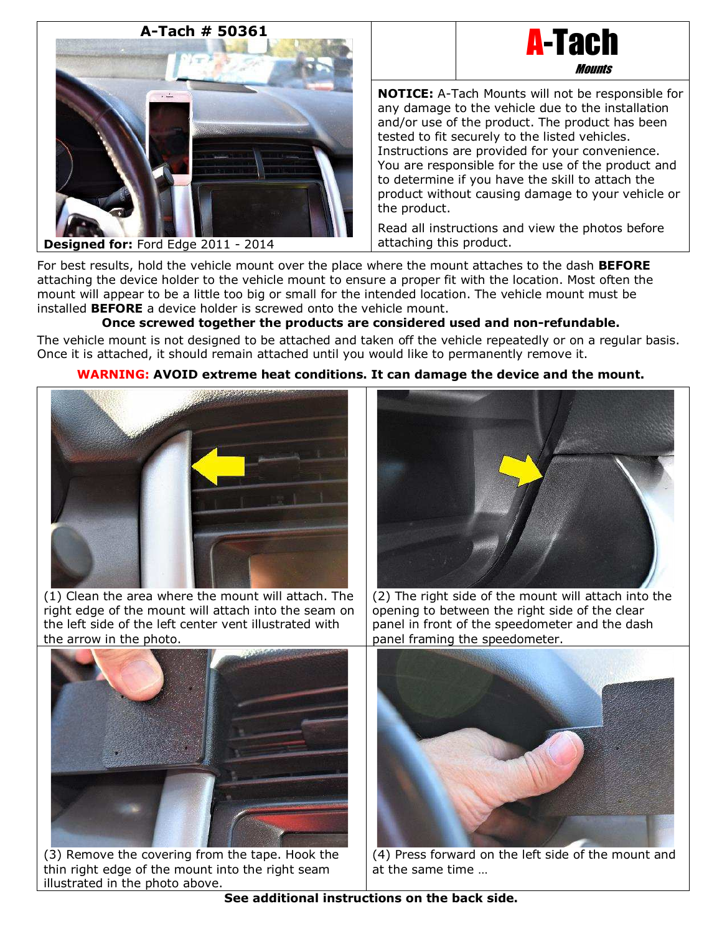# **A-Tach # 50361**





**NOTICE:** A-Tach Mounts will not be responsible for any damage to the vehicle due to the installation and/or use of the product. The product has been tested to fit securely to the listed vehicles. Instructions are provided for your convenience. You are responsible for the use of the product and to determine if you have the skill to attach the product without causing damage to your vehicle or the product.

Read all instructions and view the photos before attaching this product.

For best results, hold the vehicle mount over the place where the mount attaches to the dash **BEFORE** attaching the device holder to the vehicle mount to ensure a proper fit with the location. Most often the mount will appear to be a little too big or small for the intended location. The vehicle mount must be installed **BEFORE** a device holder is screwed onto the vehicle mount.

# **Once screwed together the products are considered used and non-refundable.**

The vehicle mount is not designed to be attached and taken off the vehicle repeatedly or on a regular basis. Once it is attached, it should remain attached until you would like to permanently remove it.

### **WARNING: AVOID extreme heat conditions. It can damage the device and the mount.**



(1) Clean the area where the mount will attach. The right edge of the mount will attach into the seam on the left side of the left center vent illustrated with the arrow in the photo.



(2) The right side of the mount will attach into the opening to between the right side of the clear panel in front of the speedometer and the dash panel framing the speedometer.



(3) Remove the covering from the tape. Hook the thin right edge of the mount into the right seam illustrated in the photo above.



(4) Press forward on the left side of the mount and at the same time …

**See additional instructions on the back side.**